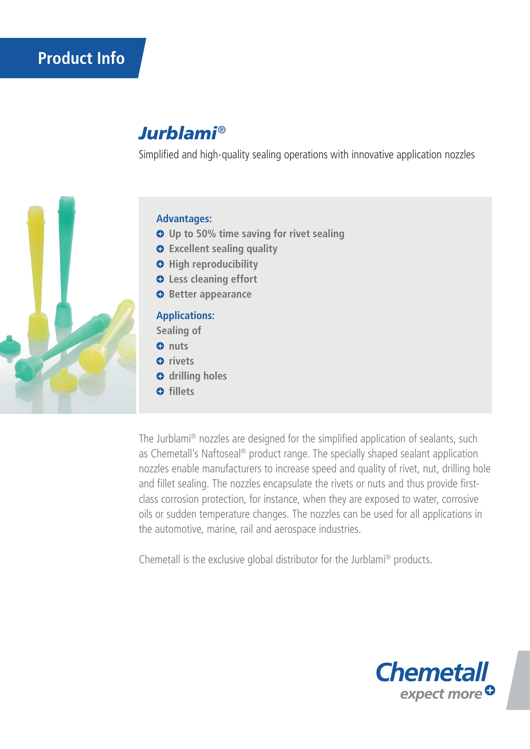# **Product Info**

## *Jurblami*®

Simplified and high-quality sealing operations with innovative application nozzles



### **Advantages:**

- **Up to 50% time saving for rivet sealing**
- **Excellent sealing quality**
- $\Theta$  High reproducibility
- **Less cleaning effort**
- **Better appearance**

### **Applications:**

**Sealing of**

- **0** nuts
- *<u>o*</u> rivets
- $\bullet$  drilling holes
- **o** fillets

The Jurblami® nozzles are designed for the simplified application of sealants, such as Chemetall's Naftoseal® product range. The specially shaped sealant application nozzles enable manufacturers to increase speed and quality of rivet, nut, drilling hole and fillet sealing. The nozzles encapsulate the rivets or nuts and thus provide firstclass corrosion protection, for instance, when they are exposed to water, corrosive oils or sudden temperature changes. The nozzles can be used for all applications in the automotive, marine, rail and aerospace industries.

Chemetall is the exclusive global distributor for the Jurblami® products.